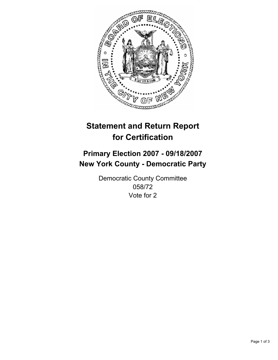

# **Statement and Return Report for Certification**

# **Primary Election 2007 - 09/18/2007 New York County - Democratic Party**

Democratic County Committee 058/72 Vote for 2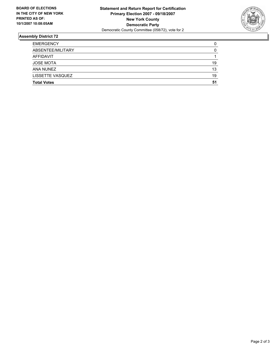

## **Assembly District 72**

| <b>EMERGENCY</b>   |    |
|--------------------|----|
| ABSENTEE/MILITARY  |    |
| AFFIDAVIT          |    |
| <b>JOSE MOTA</b>   | 19 |
| ANA NUNEZ          | 13 |
| LISSETTE VASQUEZ   | 19 |
| <b>Total Votes</b> | 51 |